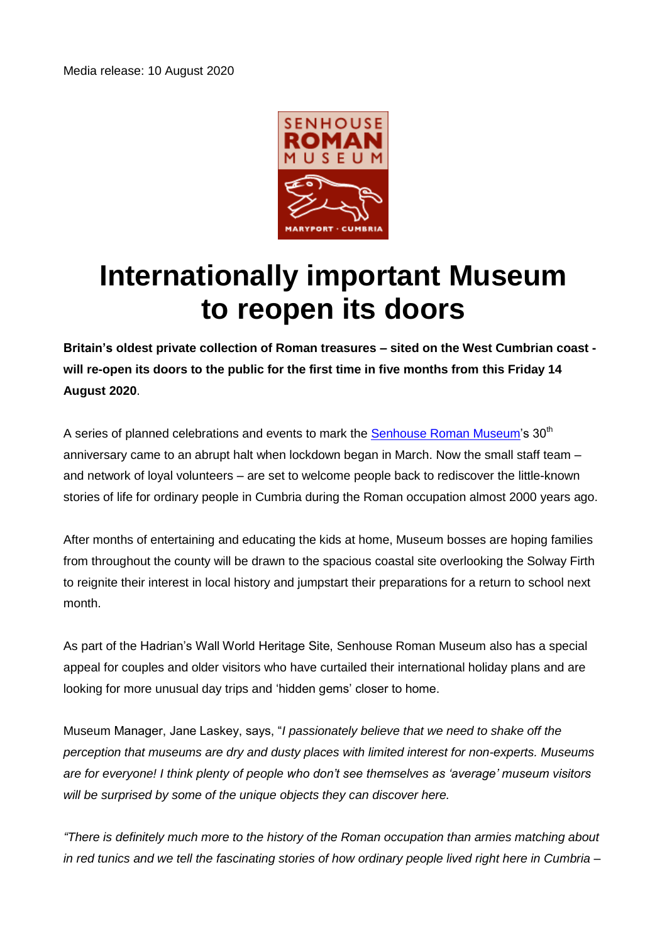

## **Internationally important Museum to reopen its doors**

**Britain's oldest private collection of Roman treasures – sited on the West Cumbrian coast will re-open its doors to the public for the first time in five months from this Friday 14 August 2020**.

A series of planned celebrations and events to mark the [Senhouse Roman Museum's](http://www.senhousemuseum.co.uk/) 30<sup>th</sup> anniversary came to an abrupt halt when lockdown began in March. Now the small staff team – and network of loyal volunteers – are set to welcome people back to rediscover the little-known stories of life for ordinary people in Cumbria during the Roman occupation almost 2000 years ago.

After months of entertaining and educating the kids at home, Museum bosses are hoping families from throughout the county will be drawn to the spacious coastal site overlooking the Solway Firth to reignite their interest in local history and jumpstart their preparations for a return to school next month.

As part of the Hadrian's Wall World Heritage Site, Senhouse Roman Museum also has a special appeal for couples and older visitors who have curtailed their international holiday plans and are looking for more unusual day trips and 'hidden gems' closer to home.

Museum Manager, Jane Laskey, says, "*I passionately believe that we need to shake off the perception that museums are dry and dusty places with limited interest for non-experts. Museums are for everyone! I think plenty of people who don't see themselves as 'average' museum visitors will be surprised by some of the unique objects they can discover here.* 

*"There is definitely much more to the history of the Roman occupation than armies matching about in red tunics and we tell the fascinating stories of how ordinary people lived right here in Cumbria –*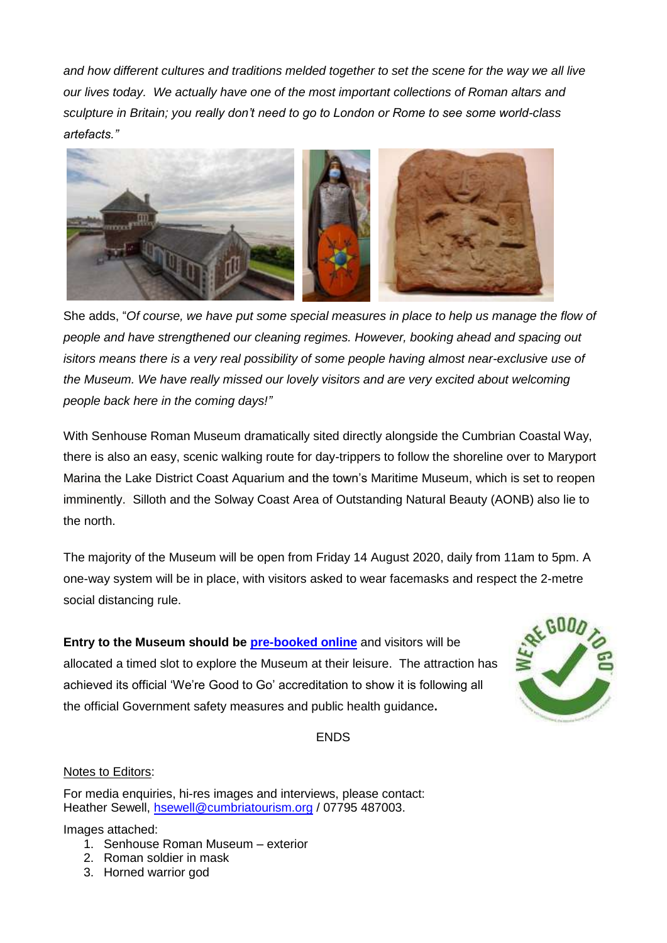*and how different cultures and traditions melded together to set the scene for the way we all live our lives today. We actually have one of the most important collections of Roman altars and sculpture in Britain; you really don't need to go to London or Rome to see some world-class artefacts."*



She adds, "*Of course, we have put some special measures in place to help us manage the flow of people and have strengthened our cleaning regimes. However, booking ahead and spacing out isitors means there is a very real possibility of some people having almost near-exclusive use of the Museum. We have really missed our lovely visitors and are very excited about welcoming people back here in the coming days!"*

With Senhouse Roman Museum dramatically sited directly alongside the Cumbrian Coastal Way, there is also an easy, scenic walking route for day-trippers to follow the shoreline over to Maryport Marina the Lake District Coast Aquarium and the town's Maritime Museum, which is set to reopen imminently. Silloth and the Solway Coast Area of Outstanding Natural Beauty (AONB) also lie to the north.

The majority of the Museum will be open from Friday 14 August 2020, daily from 11am to 5pm. A one-way system will be in place, with visitors asked to wear facemasks and respect the 2-metre social distancing rule.

**Entry to the Museum should be [pre-booked online](http://www.senhousemuseum.co.uk/visiting/)** and visitors will be allocated a timed slot to explore the Museum at their leisure. The attraction has achieved its official 'We're Good to Go' accreditation to show it is following all the official Government safety measures and public health guidance**.**



ENDS

## Notes to Editors:

For media enquiries, hi-res images and interviews, please contact: Heather Sewell, [hsewell@cumbriatourism.org](mailto:hsewell@cumbriatourism.org) / 07795 487003.

Images attached:

- 1. Senhouse Roman Museum exterior
- 2. Roman soldier in mask
- 3. Horned warrior god